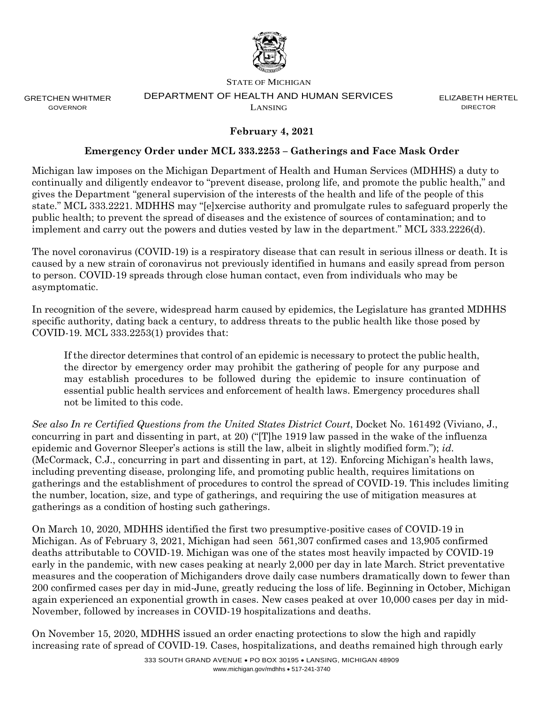

GRETCHEN WHITMER GOVERNOR

#### STATE OF MICHIGAN DEPARTMENT OF HEALTH AND HUMAN SERVICES LANSING

ELIZABETH HERTEL **DIRECTOR** 

# **February 4, 2021**

## **Emergency Order under MCL 333.2253 – Gatherings and Face Mask Order**

Michigan law imposes on the Michigan Department of Health and Human Services (MDHHS) a duty to continually and diligently endeavor to "prevent disease, prolong life, and promote the public health," and gives the Department "general supervision of the interests of the health and life of the people of this state." MCL 333.2221. MDHHS may "[e]xercise authority and promulgate rules to safeguard properly the public health; to prevent the spread of diseases and the existence of sources of contamination; and to implement and carry out the powers and duties vested by law in the department." MCL 333.2226(d).

The novel coronavirus (COVID-19) is a respiratory disease that can result in serious illness or death. It is caused by a new strain of coronavirus not previously identified in humans and easily spread from person to person. COVID-19 spreads through close human contact, even from individuals who may be asymptomatic.

In recognition of the severe, widespread harm caused by epidemics, the Legislature has granted MDHHS specific authority, dating back a century, to address threats to the public health like those posed by COVID-19. MCL 333.2253(1) provides that:

If the director determines that control of an epidemic is necessary to protect the public health, the director by emergency order may prohibit the gathering of people for any purpose and may establish procedures to be followed during the epidemic to insure continuation of essential public health services and enforcement of health laws. Emergency procedures shall not be limited to this code.

*See also In re Certified Questions from the United States District Court*, Docket No. 161492 (Viviano, J., concurring in part and dissenting in part, at 20) ("[T]he 1919 law passed in the wake of the influenza epidemic and Governor Sleeper's actions is still the law, albeit in slightly modified form."); *id*. (McCormack, C.J., concurring in part and dissenting in part, at 12). Enforcing Michigan's health laws, including preventing disease, prolonging life, and promoting public health, requires limitations on gatherings and the establishment of procedures to control the spread of COVID-19. This includes limiting the number, location, size, and type of gatherings, and requiring the use of mitigation measures at gatherings as a condition of hosting such gatherings.

On March 10, 2020, MDHHS identified the first two presumptive-positive cases of COVID-19 in Michigan. As of February 3, 2021, Michigan had seen 561,307 confirmed cases and 13,905 confirmed deaths attributable to COVID-19. Michigan was one of the states most heavily impacted by COVID-19 early in the pandemic, with new cases peaking at nearly 2,000 per day in late March. Strict preventative measures and the cooperation of Michiganders drove daily case numbers dramatically down to fewer than 200 confirmed cases per day in mid-June, greatly reducing the loss of life. Beginning in October, Michigan again experienced an exponential growth in cases. New cases peaked at over 10,000 cases per day in mid-November, followed by increases in COVID-19 hospitalizations and deaths.

On November 15, 2020, MDHHS issued an order enacting protections to slow the high and rapidly increasing rate of spread of COVID-19. Cases, hospitalizations, and deaths remained high through early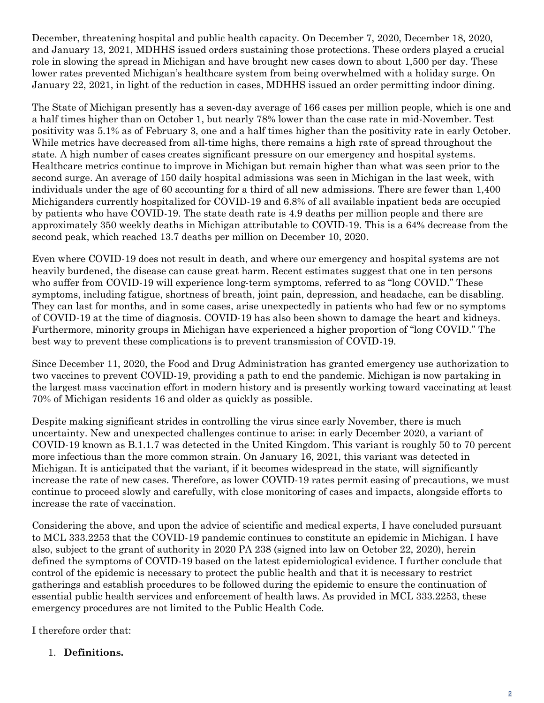December, threatening hospital and public health capacity. On December 7, 2020, December 18, 2020, and January 13, 2021, MDHHS issued orders sustaining those protections. These orders played a crucial role in slowing the spread in Michigan and have brought new cases down to about 1,500 per day. These lower rates prevented Michigan's healthcare system from being overwhelmed with a holiday surge. On January 22, 2021, in light of the reduction in cases, MDHHS issued an order permitting indoor dining.

The State of Michigan presently has a seven-day average of 166 cases per million people, which is one and a half times higher than on October 1, but nearly 78% lower than the case rate in mid-November. Test positivity was 5.1% as of February 3, one and a half times higher than the positivity rate in early October. While metrics have decreased from all-time highs, there remains a high rate of spread throughout the state. A high number of cases creates significant pressure on our emergency and hospital systems. Healthcare metrics continue to improve in Michigan but remain higher than what was seen prior to the second surge. An average of 150 daily hospital admissions was seen in Michigan in the last week, with individuals under the age of 60 accounting for a third of all new admissions. There are fewer than 1,400 Michiganders currently hospitalized for COVID-19 and 6.8% of all available inpatient beds are occupied by patients who have COVID-19. The state death rate is 4.9 deaths per million people and there are approximately 350 weekly deaths in Michigan attributable to COVID-19. This is a 64% decrease from the second peak, which reached 13.7 deaths per million on December 10, 2020.

Even where COVID-19 does not result in death, and where our emergency and hospital systems are not heavily burdened, the disease can cause great harm. Recent estimates suggest that one in ten persons who suffer from COVID-19 will experience long-term symptoms, referred to as "long COVID." These symptoms, including fatigue, shortness of breath, joint pain, depression, and headache, can be disabling. They can last for months, and in some cases, arise unexpectedly in patients who had few or no symptoms of COVID-19 at the time of diagnosis. COVID-19 has also been shown to damage the heart and kidneys. Furthermore, minority groups in Michigan have experienced a higher proportion of "long COVID." The best way to prevent these complications is to prevent transmission of COVID-19.

Since December 11, 2020, the Food and Drug Administration has granted emergency use authorization to two vaccines to prevent COVID-19, providing a path to end the pandemic. Michigan is now partaking in the largest mass vaccination effort in modern history and is presently working toward vaccinating at least 70% of Michigan residents 16 and older as quickly as possible.

Despite making significant strides in controlling the virus since early November, there is much uncertainty. New and unexpected challenges continue to arise: in early December 2020, a variant of COVID-19 known as B.1.1.7 was detected in the United Kingdom. This variant is roughly 50 to 70 percent more infectious than the more common strain. On January 16, 2021, this variant was detected in Michigan. It is anticipated that the variant, if it becomes widespread in the state, will significantly increase the rate of new cases. Therefore, as lower COVID-19 rates permit easing of precautions, we must continue to proceed slowly and carefully, with close monitoring of cases and impacts, alongside efforts to increase the rate of vaccination.

Considering the above, and upon the advice of scientific and medical experts, I have concluded pursuant to MCL 333.2253 that the COVID-19 pandemic continues to constitute an epidemic in Michigan. I have also, subject to the grant of authority in 2020 PA 238 (signed into law on October 22, 2020), herein defined the symptoms of COVID-19 based on the latest epidemiological evidence. I further conclude that control of the epidemic is necessary to protect the public health and that it is necessary to restrict gatherings and establish procedures to be followed during the epidemic to ensure the continuation of essential public health services and enforcement of health laws. As provided in MCL 333.2253, these emergency procedures are not limited to the Public Health Code.

I therefore order that:

# 1. **Definitions.**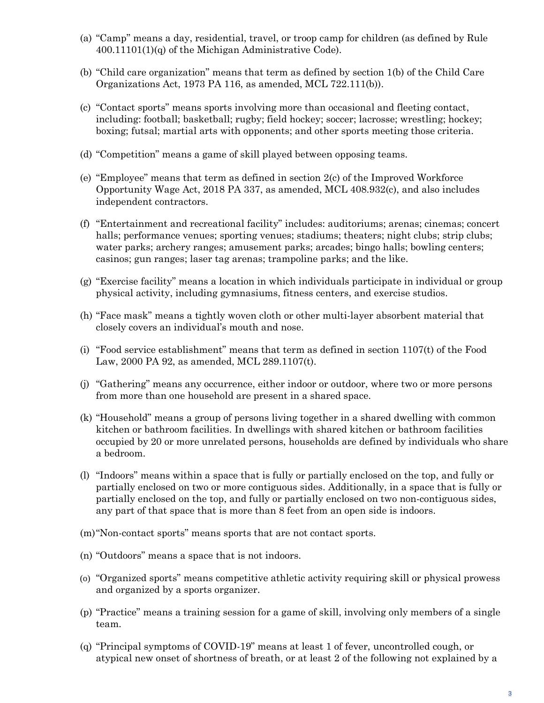- (a) "Camp" means a day, residential, travel, or troop camp for children (as defined by Rule 400.11101(1)(q) of the Michigan Administrative Code).
- (b) "Child care organization" means that term as defined by section 1(b) of the Child Care Organizations Act, 1973 PA 116, as amended, MCL 722.111(b)).
- (c) "Contact sports" means sports involving more than occasional and fleeting contact, including: football; basketball; rugby; field hockey; soccer; lacrosse; wrestling; hockey; boxing; futsal; martial arts with opponents; and other sports meeting those criteria.
- (d) "Competition" means a game of skill played between opposing teams.
- (e) "Employee" means that term as defined in section 2(c) of the Improved Workforce Opportunity Wage Act, 2018 PA 337, as amended, MCL 408.932(c), and also includes independent contractors.
- (f) "Entertainment and recreational facility" includes: auditoriums; arenas; cinemas; concert halls; performance venues; sporting venues; stadiums; theaters; night clubs; strip clubs; water parks; archery ranges; amusement parks; arcades; bingo halls; bowling centers; casinos; gun ranges; laser tag arenas; trampoline parks; and the like.
- (g) "Exercise facility" means a location in which individuals participate in individual or group physical activity, including gymnasiums, fitness centers, and exercise studios.
- (h) "Face mask" means a tightly woven cloth or other multi-layer absorbent material that closely covers an individual's mouth and nose.
- (i) "Food service establishment" means that term as defined in section 1107(t) of the Food Law, 2000 PA 92, as amended, MCL 289.1107(t).
- (j) "Gathering" means any occurrence, either indoor or outdoor, where two or more persons from more than one household are present in a shared space.
- (k) "Household" means a group of persons living together in a shared dwelling with common kitchen or bathroom facilities. In dwellings with shared kitchen or bathroom facilities occupied by 20 or more unrelated persons, households are defined by individuals who share a bedroom.
- (l) "Indoors" means within a space that is fully or partially enclosed on the top, and fully or partially enclosed on two or more contiguous sides. Additionally, in a space that is fully or partially enclosed on the top, and fully or partially enclosed on two non-contiguous sides, any part of that space that is more than 8 feet from an open side is indoors.
- (m)"Non-contact sports" means sports that are not contact sports.
- (n) "Outdoors" means a space that is not indoors.
- (o) "Organized sports" means competitive athletic activity requiring skill or physical prowess and organized by a sports organizer.
- (p) "Practice" means a training session for a game of skill, involving only members of a single team.
- (q) "Principal symptoms of COVID-19" means at least 1 of fever, uncontrolled cough, or atypical new onset of shortness of breath, or at least 2 of the following not explained by a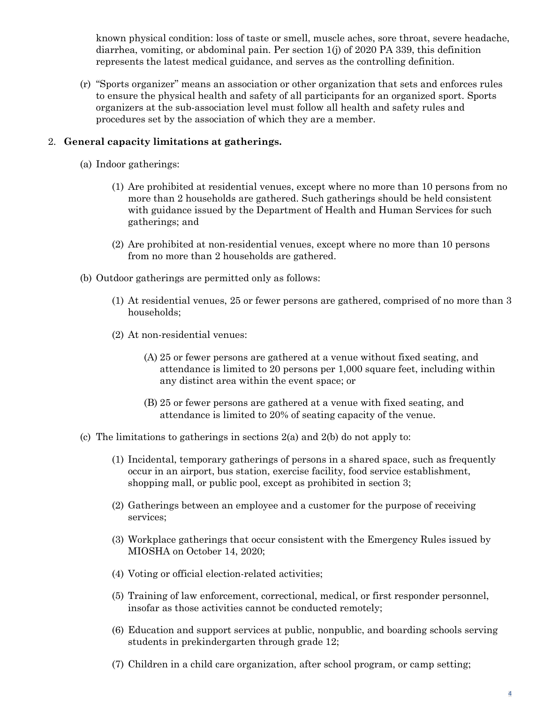known physical condition: loss of taste or smell, muscle aches, sore throat, severe headache, diarrhea, vomiting, or abdominal pain. Per section 1(j) of 2020 PA 339, this definition represents the latest medical guidance, and serves as the controlling definition.

(r) "Sports organizer" means an association or other organization that sets and enforces rules to ensure the physical health and safety of all participants for an organized sport. Sports organizers at the sub-association level must follow all health and safety rules and procedures set by the association of which they are a member.

## 2. **General capacity limitations at gatherings.**

- (a) Indoor gatherings:
	- (1) Are prohibited at residential venues, except where no more than 10 persons from no more than 2 households are gathered. Such gatherings should be held consistent with guidance issued by the Department of Health and Human Services for such gatherings; and
	- (2) Are prohibited at non-residential venues, except where no more than 10 persons from no more than 2 households are gathered.
- (b) Outdoor gatherings are permitted only as follows:
	- (1) At residential venues, 25 or fewer persons are gathered, comprised of no more than 3 households;
	- (2) At non-residential venues:
		- (A) 25 or fewer persons are gathered at a venue without fixed seating, and attendance is limited to 20 persons per 1,000 square feet, including within any distinct area within the event space; or
		- (B) 25 or fewer persons are gathered at a venue with fixed seating, and attendance is limited to 20% of seating capacity of the venue.
- (c) The limitations to gatherings in sections  $2(a)$  and  $2(b)$  do not apply to:
	- (1) Incidental, temporary gatherings of persons in a shared space, such as frequently occur in an airport, bus station, exercise facility, food service establishment, shopping mall, or public pool, except as prohibited in section 3;
	- (2) Gatherings between an employee and a customer for the purpose of receiving services;
	- (3) Workplace gatherings that occur consistent with the Emergency Rules issued by MIOSHA on October 14, 2020;
	- (4) Voting or official election-related activities;
	- (5) Training of law enforcement, correctional, medical, or first responder personnel, insofar as those activities cannot be conducted remotely;
	- (6) Education and support services at public, nonpublic, and boarding schools serving students in prekindergarten through grade 12;
	- (7) Children in a child care organization, after school program, or camp setting;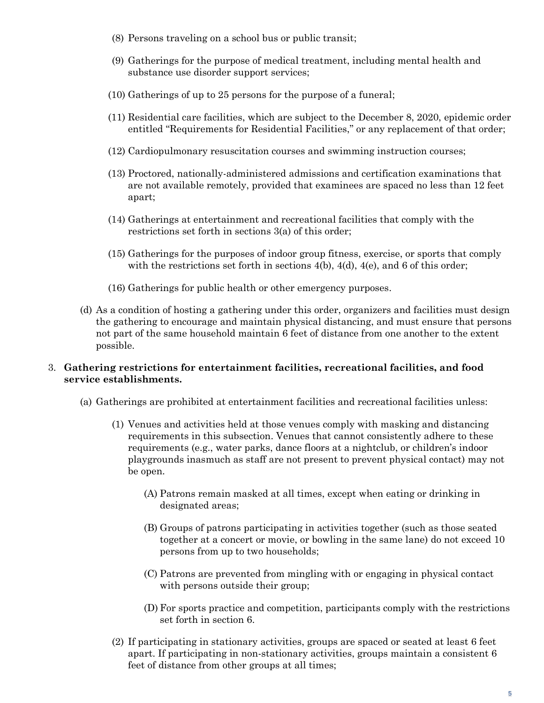- (8) Persons traveling on a school bus or public transit;
- (9) Gatherings for the purpose of medical treatment, including mental health and substance use disorder support services;
- (10) Gatherings of up to 25 persons for the purpose of a funeral;
- (11) Residential care facilities, which are subject to the December 8, 2020, epidemic order entitled "Requirements for Residential Facilities," or any replacement of that order;
- (12) Cardiopulmonary resuscitation courses and swimming instruction courses;
- (13) Proctored, nationally-administered admissions and certification examinations that are not available remotely, provided that examinees are spaced no less than 12 feet apart;
- (14) Gatherings at entertainment and recreational facilities that comply with the restrictions set forth in sections 3(a) of this order;
- (15) Gatherings for the purposes of indoor group fitness, exercise, or sports that comply with the restrictions set forth in sections  $4(b)$ ,  $4(d)$ ,  $4(e)$ , and 6 of this order;
- (16) Gatherings for public health or other emergency purposes.
- (d) As a condition of hosting a gathering under this order, organizers and facilities must design the gathering to encourage and maintain physical distancing, and must ensure that persons not part of the same household maintain 6 feet of distance from one another to the extent possible.

### 3. **Gathering restrictions for entertainment facilities, recreational facilities, and food service establishments.**

- (a) Gatherings are prohibited at entertainment facilities and recreational facilities unless:
	- (1) Venues and activities held at those venues comply with masking and distancing requirements in this subsection. Venues that cannot consistently adhere to these requirements (e.g., water parks, dance floors at a nightclub, or children's indoor playgrounds inasmuch as staff are not present to prevent physical contact) may not be open.
		- (A) Patrons remain masked at all times, except when eating or drinking in designated areas;
		- (B) Groups of patrons participating in activities together (such as those seated together at a concert or movie, or bowling in the same lane) do not exceed 10 persons from up to two households;
		- (C) Patrons are prevented from mingling with or engaging in physical contact with persons outside their group;
		- (D) For sports practice and competition, participants comply with the restrictions set forth in section 6.
	- (2) If participating in stationary activities, groups are spaced or seated at least 6 feet apart. If participating in non-stationary activities, groups maintain a consistent 6 feet of distance from other groups at all times;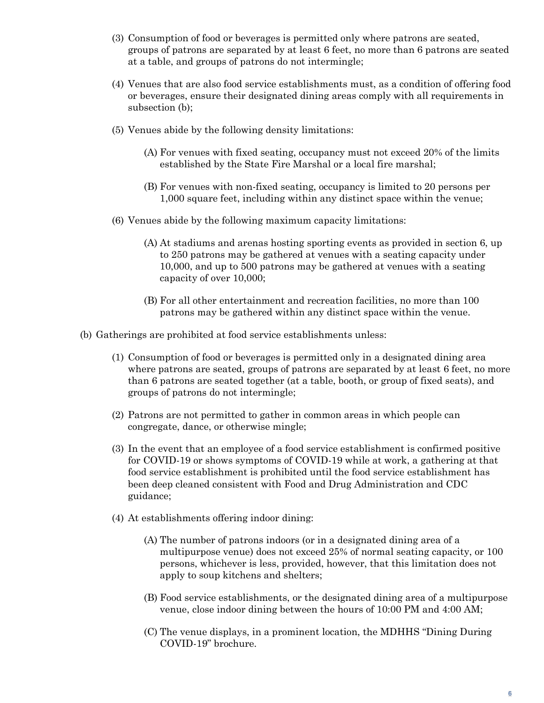- (3) Consumption of food or beverages is permitted only where patrons are seated, groups of patrons are separated by at least 6 feet, no more than 6 patrons are seated at a table, and groups of patrons do not intermingle;
- (4) Venues that are also food service establishments must, as a condition of offering food or beverages, ensure their designated dining areas comply with all requirements in subsection (b);
- (5) Venues abide by the following density limitations:
	- (A) For venues with fixed seating, occupancy must not exceed 20% of the limits established by the State Fire Marshal or a local fire marshal;
	- (B) For venues with non-fixed seating, occupancy is limited to 20 persons per 1,000 square feet, including within any distinct space within the venue;
- (6) Venues abide by the following maximum capacity limitations:
	- (A) At stadiums and arenas hosting sporting events as provided in section 6, up to 250 patrons may be gathered at venues with a seating capacity under 10,000, and up to 500 patrons may be gathered at venues with a seating capacity of over 10,000;
	- (B) For all other entertainment and recreation facilities, no more than 100 patrons may be gathered within any distinct space within the venue.
- (b) Gatherings are prohibited at food service establishments unless:
	- (1) Consumption of food or beverages is permitted only in a designated dining area where patrons are seated, groups of patrons are separated by at least 6 feet, no more than 6 patrons are seated together (at a table, booth, or group of fixed seats), and groups of patrons do not intermingle;
	- (2) Patrons are not permitted to gather in common areas in which people can congregate, dance, or otherwise mingle;
	- (3) In the event that an employee of a food service establishment is confirmed positive for COVID-19 or shows symptoms of COVID-19 while at work, a gathering at that food service establishment is prohibited until the food service establishment has been deep cleaned consistent with Food and Drug Administration and CDC guidance;
	- (4) At establishments offering indoor dining:
		- (A) The number of patrons indoors (or in a designated dining area of a multipurpose venue) does not exceed 25% of normal seating capacity, or 100 persons, whichever is less, provided, however, that this limitation does not apply to soup kitchens and shelters;
		- (B) Food service establishments, or the designated dining area of a multipurpose venue, close indoor dining between the hours of 10:00 PM and 4:00 AM;
		- (C) The venue displays, in a prominent location, the MDHHS "Dining During COVID-19" brochure.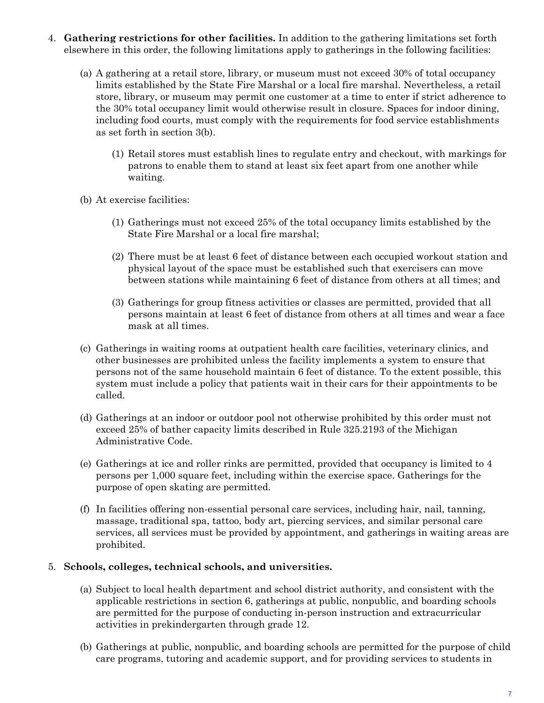- 4. **Gathering restrictions for other facilities.** In addition to the gathering limitations set forth elsewhere in this order, the following limitations apply to gatherings in the following facilities:
	- (a) A gathering at a retail store, library, or museum must not exceed 30% of total occupancy limits established by the State Fire Marshal or a local fire marshal. Nevertheless, a retail store, library, or museum may permit one customer at a time to enter if strict adherence to the 30% total occupancy limit would otherwise result in closure. Spaces for indoor dining, including food courts, must comply with the requirements for food service establishments as set forth in section 3(b).
		- (1) Retail stores must establish lines to regulate entry and checkout, with markings for patrons to enable them to stand at least six feet apart from one another while waiting.
	- (b) At exercise facilities:
		- (1) Gatherings must not exceed 25% of the total occupancy limits established by the State Fire Marshal or a local fire marshal;
		- (2) There must be at least 6 feet of distance between each occupied workout station and physical layout of the space must be established such that exercisers can move between stations while maintaining 6 feet of distance from others at all times; and
		- (3) Gatherings for group fitness activities or classes are permitted, provided that all persons maintain at least 6 feet of distance from others at all times and wear a face mask at all times.
	- (c) Gatherings in waiting rooms at outpatient health care facilities, veterinary clinics, and other businesses are prohibited unless the facility implements a system to ensure that persons not of the same household maintain 6 feet of distance. To the extent possible, this system must include a policy that patients wait in their cars for their appointments to be called.
	- (d) Gatherings at an indoor or outdoor pool not otherwise prohibited by this order must not exceed 25% of bather capacity limits described in Rule 325.2193 of the Michigan Administrative Code.
	- (e) Gatherings at ice and roller rinks are permitted, provided that occupancy is limited to 4 persons per 1,000 square feet, including within the exercise space. Gatherings for the purpose of open skating are permitted.
	- (f) In facilities offering non-essential personal care services, including hair, nail, tanning, massage, traditional spa, tattoo, body art, piercing services, and similar personal care services, all services must be provided by appointment, and gatherings in waiting areas are prohibited.

### 5. **Schools, colleges, technical schools, and universities.**

- (a) Subject to local health department and school district authority, and consistent with the applicable restrictions in section 6, gatherings at public, nonpublic, and boarding schools are permitted for the purpose of conducting in-person instruction and extracurricular activities in prekindergarten through grade 12.
- (b) Gatherings at public, nonpublic, and boarding schools are permitted for the purpose of child care programs, tutoring and academic support, and for providing services to students in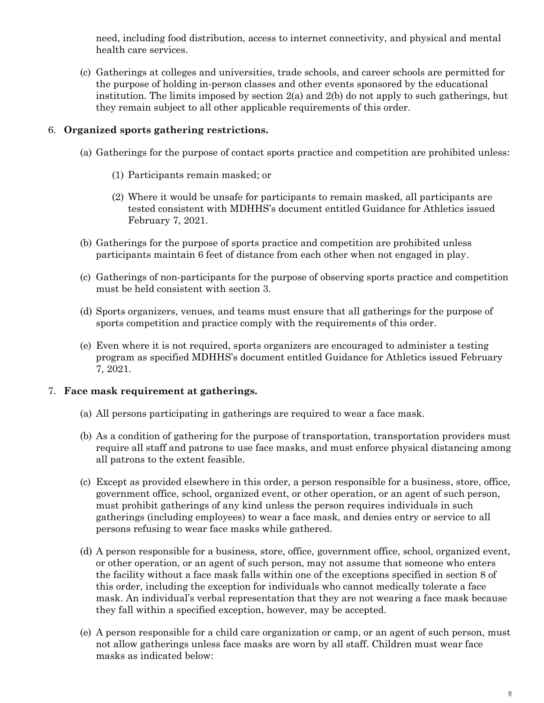need, including food distribution, access to internet connectivity, and physical and mental health care services.

(c) Gatherings at colleges and universities, trade schools, and career schools are permitted for the purpose of holding in-person classes and other events sponsored by the educational institution. The limits imposed by section  $2(a)$  and  $2(b)$  do not apply to such gatherings, but they remain subject to all other applicable requirements of this order.

## 6. **Organized sports gathering restrictions.**

- (a) Gatherings for the purpose of contact sports practice and competition are prohibited unless:
	- (1) Participants remain masked; or
	- (2) Where it would be unsafe for participants to remain masked, all participants are tested consistent with MDHHS's document entitled Guidance for Athletics issued February 7, 2021.
- (b) Gatherings for the purpose of sports practice and competition are prohibited unless participants maintain 6 feet of distance from each other when not engaged in play.
- (c) Gatherings of non-participants for the purpose of observing sports practice and competition must be held consistent with section 3.
- (d) Sports organizers, venues, and teams must ensure that all gatherings for the purpose of sports competition and practice comply with the requirements of this order.
- (e) Even where it is not required, sports organizers are encouraged to administer a testing program as specified MDHHS's document entitled Guidance for Athletics issued February 7, 2021.

### 7. **Face mask requirement at gatherings.**

- (a) All persons participating in gatherings are required to wear a face mask.
- (b) As a condition of gathering for the purpose of transportation, transportation providers must require all staff and patrons to use face masks, and must enforce physical distancing among all patrons to the extent feasible.
- (c) Except as provided elsewhere in this order, a person responsible for a business, store, office, government office, school, organized event, or other operation, or an agent of such person, must prohibit gatherings of any kind unless the person requires individuals in such gatherings (including employees) to wear a face mask, and denies entry or service to all persons refusing to wear face masks while gathered.
- (d) A person responsible for a business, store, office, government office, school, organized event, or other operation, or an agent of such person, may not assume that someone who enters the facility without a face mask falls within one of the exceptions specified in section 8 of this order, including the exception for individuals who cannot medically tolerate a face mask. An individual's verbal representation that they are not wearing a face mask because they fall within a specified exception, however, may be accepted.
- (e) A person responsible for a child care organization or camp, or an agent of such person, must not allow gatherings unless face masks are worn by all staff. Children must wear face masks as indicated below: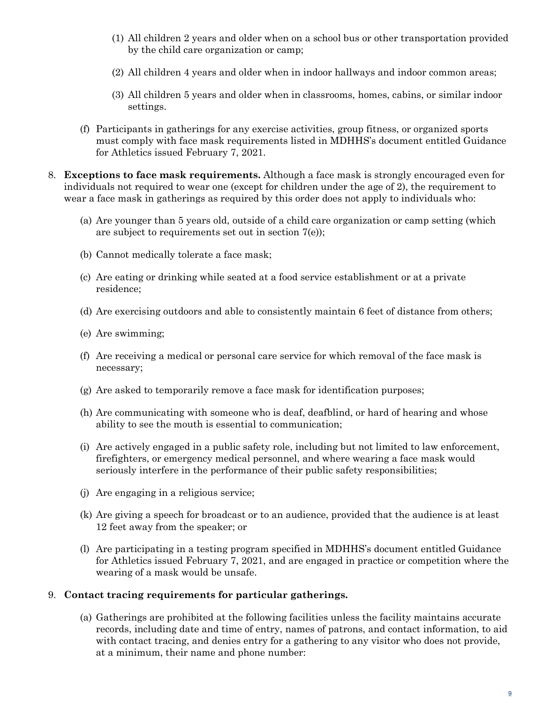- (1) All children 2 years and older when on a school bus or other transportation provided by the child care organization or camp;
- (2) All children 4 years and older when in indoor hallways and indoor common areas;
- (3) All children 5 years and older when in classrooms, homes, cabins, or similar indoor settings.
- (f) Participants in gatherings for any exercise activities, group fitness, or organized sports must comply with face mask requirements listed in MDHHS's document entitled Guidance for Athletics issued February 7, 2021.
- 8. **Exceptions to face mask requirements.** Although a face mask is strongly encouraged even for individuals not required to wear one (except for children under the age of 2), the requirement to wear a face mask in gatherings as required by this order does not apply to individuals who:
	- (a) Are younger than 5 years old, outside of a child care organization or camp setting (which are subject to requirements set out in section 7(e));
	- (b) Cannot medically tolerate a face mask;
	- (c) Are eating or drinking while seated at a food service establishment or at a private residence;
	- (d) Are exercising outdoors and able to consistently maintain 6 feet of distance from others;
	- (e) Are swimming;
	- (f) Are receiving a medical or personal care service for which removal of the face mask is necessary;
	- (g) Are asked to temporarily remove a face mask for identification purposes;
	- (h) Are communicating with someone who is deaf, deafblind, or hard of hearing and whose ability to see the mouth is essential to communication;
	- (i) Are actively engaged in a public safety role, including but not limited to law enforcement, firefighters, or emergency medical personnel, and where wearing a face mask would seriously interfere in the performance of their public safety responsibilities;
	- (j) Are engaging in a religious service;
	- (k) Are giving a speech for broadcast or to an audience, provided that the audience is at least 12 feet away from the speaker; or
	- (l) Are participating in a testing program specified in MDHHS's document entitled Guidance for Athletics issued February 7, 2021, and are engaged in practice or competition where the wearing of a mask would be unsafe.

#### 9. **Contact tracing requirements for particular gatherings.**

(a) Gatherings are prohibited at the following facilities unless the facility maintains accurate records, including date and time of entry, names of patrons, and contact information, to aid with contact tracing, and denies entry for a gathering to any visitor who does not provide, at a minimum, their name and phone number: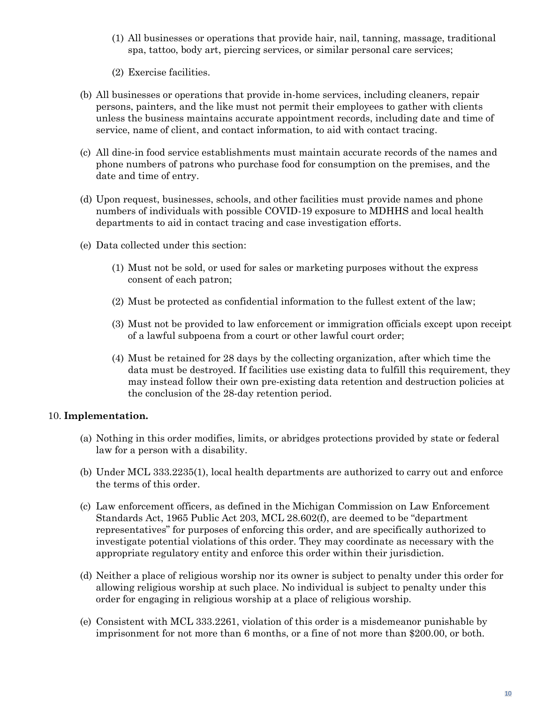- (1) All businesses or operations that provide hair, nail, tanning, massage, traditional spa, tattoo, body art, piercing services, or similar personal care services;
- (2) Exercise facilities.
- (b) All businesses or operations that provide in-home services, including cleaners, repair persons, painters, and the like must not permit their employees to gather with clients unless the business maintains accurate appointment records, including date and time of service, name of client, and contact information, to aid with contact tracing.
- (c) All dine-in food service establishments must maintain accurate records of the names and phone numbers of patrons who purchase food for consumption on the premises, and the date and time of entry.
- (d) Upon request, businesses, schools, and other facilities must provide names and phone numbers of individuals with possible COVID-19 exposure to MDHHS and local health departments to aid in contact tracing and case investigation efforts.
- (e) Data collected under this section:
	- (1) Must not be sold, or used for sales or marketing purposes without the express consent of each patron;
	- (2) Must be protected as confidential information to the fullest extent of the law;
	- (3) Must not be provided to law enforcement or immigration officials except upon receipt of a lawful subpoena from a court or other lawful court order;
	- (4) Must be retained for 28 days by the collecting organization, after which time the data must be destroyed. If facilities use existing data to fulfill this requirement, they may instead follow their own pre-existing data retention and destruction policies at the conclusion of the 28-day retention period.

### 10. **Implementation.**

- (a) Nothing in this order modifies, limits, or abridges protections provided by state or federal law for a person with a disability.
- (b) Under MCL 333.2235(1), local health departments are authorized to carry out and enforce the terms of this order.
- (c) Law enforcement officers, as defined in the Michigan Commission on Law Enforcement Standards Act, 1965 Public Act 203, MCL 28.602(f), are deemed to be "department representatives" for purposes of enforcing this order, and are specifically authorized to investigate potential violations of this order. They may coordinate as necessary with the appropriate regulatory entity and enforce this order within their jurisdiction.
- (d) Neither a place of religious worship nor its owner is subject to penalty under this order for allowing religious worship at such place. No individual is subject to penalty under this order for engaging in religious worship at a place of religious worship.
- (e) Consistent with MCL 333.2261, violation of this order is a misdemeanor punishable by imprisonment for not more than 6 months, or a fine of not more than \$200.00, or both.